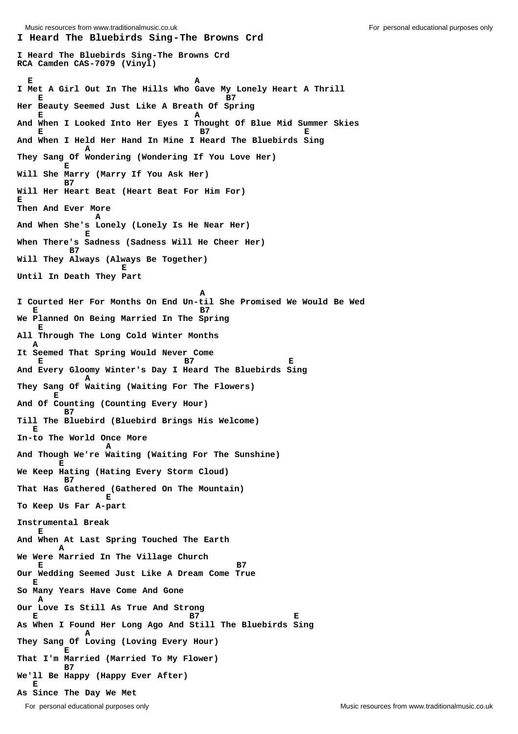**I Heard The Bluebirds Sing-The Browns Crd I Heard The Bluebirds Sing-The Browns Crd RCA Camden CAS-7079 (Vinyl) E** A **I Met A Girl Out In The Hills Who Gave My Lonely Heart A Thrill E** B7 **Her Beauty Seemed Just Like A Breath Of Spring E** A **And When I Looked Into Her Eyes I Thought Of Blue Mid Summer Skies E B7 E And When I Held Her Hand In Mine I Heard The Bluebirds Sing A They Sang Of Wondering (Wondering If You Love Her) E Will She Marry (Marry If You Ask Her) B7 Will Her Heart Beat (Heart Beat For Him For) E Then And Ever More** *A* **And When She's Lonely (Lonely Is He Near Her) E When There's Sadness (Sadness Will He Cheer Her) B7 Will They Always (Always Be Together) E Until In Death They Part A I Courted Her For Months On End Un-til She Promised We Would Be Wed E** B7 **We Planned On Being Married In The Spring E All Through The Long Cold Winter Months A It Seemed That Spring Would Never Come E** B7 E **And Every Gloomy Winter's Day I Heard The Bluebirds Sing A They Sang Of Waiting (Waiting For The Flowers) E And Of Counting (Counting Every Hour) B7 Till The Bluebird (Bluebird Brings His Welcome) E In-to The World Once More** *A* **And Though We're Waiting (Waiting For The Sunshine) E We Keep Hating (Hating Every Storm Cloud) B7 That Has Gathered (Gathered On The Mountain) E To Keep Us Far A-part Instrumental Break E And When At Last Spring Touched The Earth A We Were Married In The Village Church E** B7 **Our Wedding Seemed Just Like A Dream Come True E So Many Years Have Come And Gone A Our Love Is Still As True And Strong E** B7 B7 **As When I Found Her Long Ago And Still The Bluebirds Sing A They Sang Of Loving (Loving Every Hour) E That I'm Married (Married To My Flower) B7 We'll Be Happy (Happy Ever After) E As Since The Day We Met**